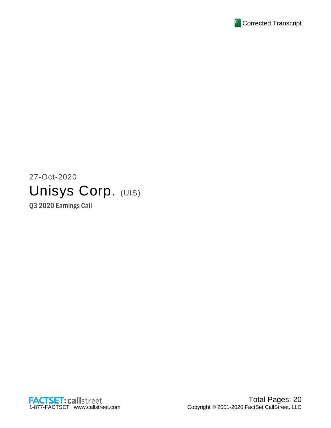

# 27-Oct-2020 Unisys Corp. (UIS)

Q3 2020 Earnings Call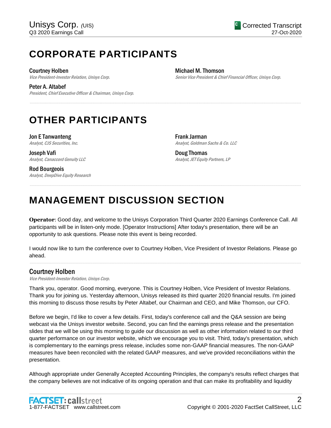## **CORPORATE PARTICIPANTS**

Courtney Holben

Vice President-Investor Relation, Unisys Corp.

Peter A. Altabef President, Chief Executive Officer & Chairman, Unisys Corp. Michael M. Thomson Senior Vice President & Chief Financial Officer, Unisys Corp.

# **OTHER PARTICIPANTS**

Jon E Tanwanteng Analyst, CJS Securities, Inc.

Joseph Vafi Analyst, Canaccord Genuity LLC

Rod Bourgeois Analyst, DeepDive Equity Research Frank Jarman Analyst, Goldman Sachs & Co. LLC

Doug Thomas Analyst, JET Equity Partners, LP

# **MANAGEMENT DISCUSSION SECTION**

**Operator**: Good day, and welcome to the Unisys Corporation Third Quarter 2020 Earnings Conference Call. All participants will be in listen-only mode. [Operator Instructions] After today's presentation, there will be an opportunity to ask questions. Please note this event is being recorded.

......................................................................................................................................................................................................................................................

......................................................................................................................................................................................................................................................

I would now like to turn the conference over to Courtney Holben, Vice President of Investor Relations. Please go ahead.

......................................................................................................................................................................................................................................................

## Courtney Holben

Vice President-Investor Relation, Unisys Corp.

Thank you, operator. Good morning, everyone. This is Courtney Holben, Vice President of Investor Relations. Thank you for joining us. Yesterday afternoon, Unisys released its third quarter 2020 financial results. I'm joined this morning to discuss those results by Peter Altabef, our Chairman and CEO, and Mike Thomson, our CFO.

Before we begin, I'd like to cover a few details. First, today's conference call and the Q&A session are being webcast via the Unisys investor website. Second, you can find the earnings press release and the presentation slides that we will be using this morning to guide our discussion as well as other information related to our third quarter performance on our investor website, which we encourage you to visit. Third, today's presentation, which is complementary to the earnings press release, includes some non-GAAP financial measures. The non-GAAP measures have been reconciled with the related GAAP measures, and we've provided reconciliations within the presentation.

Although appropriate under Generally Accepted Accounting Principles, the company's results reflect charges that the company believes are not indicative of its ongoing operation and that can make its profitability and liquidity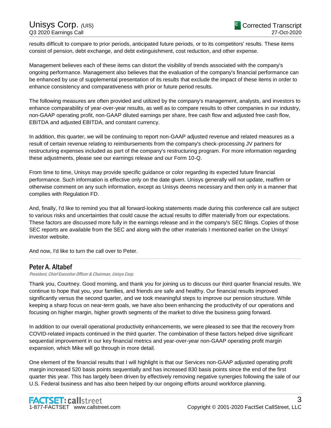results difficult to compare to prior periods, anticipated future periods, or to its competitors' results. These items consist of pension, debt exchange, and debt extinguishment, cost reduction, and other expense.

Management believes each of these items can distort the visibility of trends associated with the company's ongoing performance. Management also believes that the evaluation of the company's financial performance can be enhanced by use of supplemental presentation of its results that exclude the impact of these items in order to enhance consistency and comparativeness with prior or future period results.

The following measures are often provided and utilized by the company's management, analysts, and investors to enhance comparability of year-over-year results, as well as to compare results to other companies in our industry, non-GAAP operating profit, non-GAAP diluted earnings per share, free cash flow and adjusted free cash flow, EBITDA and adjusted EBITDA, and constant currency.

In addition, this quarter, we will be continuing to report non-GAAP adjusted revenue and related measures as a result of certain revenue relating to reimbursements from the company's check-processing JV partners for restructuring expenses included as part of the company's restructuring program. For more information regarding these adjustments, please see our earnings release and our Form 10-Q.

From time to time, Unisys may provide specific guidance or color regarding its expected future financial performance. Such information is effective only on the date given. Unisys generally will not update, reaffirm or otherwise comment on any such information, except as Unisys deems necessary and then only in a manner that complies with Regulation FD.

And, finally, I'd like to remind you that all forward-looking statements made during this conference call are subject to various risks and uncertainties that could cause the actual results to differ materially from our expectations. These factors are discussed more fully in the earnings release and in the company's SEC filings. Copies of those SEC reports are available from the SEC and along with the other materials I mentioned earlier on the Unisys' investor website.

......................................................................................................................................................................................................................................................

And now, I'd like to turn the call over to Peter.

### Peter A. Altabef

President, Chief Executive Officer & Chairman, Unisys Corp.

Thank you, Courtney. Good morning, and thank you for joining us to discuss our third quarter financial results. We continue to hope that you, your families, and friends are safe and healthy. Our financial results improved significantly versus the second quarter, and we took meaningful steps to improve our pension structure. While keeping a sharp focus on near-term goals, we have also been enhancing the productivity of our operations and focusing on higher margin, higher growth segments of the market to drive the business going forward.

In addition to our overall operational productivity enhancements, we were pleased to see that the recovery from COVID-related impacts continued in the third quarter. The combination of these factors helped drive significant sequential improvement in our key financial metrics and year-over-year non-GAAP operating profit margin expansion, which Mike will go through in more detail.

One element of the financial results that I will highlight is that our Services non-GAAP adjusted operating profit margin increased 520 basis points sequentially and has increased 830 basis points since the end of the first quarter this year. This has largely been driven by effectively removing negative synergies following the sale of our U.S. Federal business and has also been helped by our ongoing efforts around workforce planning.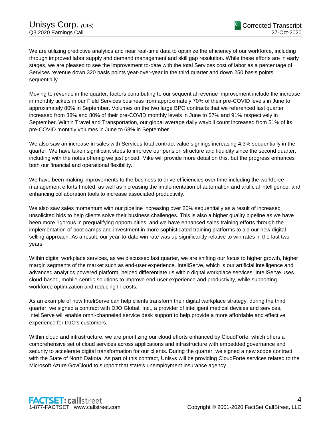We are utilizing predictive analytics and near real-time data to optimize the efficiency of our workforce, including through improved labor supply and demand management and skill gap resolution. While these efforts are in early stages, we are pleased to see the improvement to-date with the total Services cost of labor as a percentage of Services revenue down 320 basis points year-over-year in the third quarter and down 250 basis points sequentially.

Moving to revenue in the quarter, factors contributing to our sequential revenue improvement include the increase in monthly tickets in our Field Services business from approximately 70% of their pre-COVID levels in June to approximately 80% in September. Volumes on the two large BPO contracts that we referenced last quarter increased from 38% and 80% of their pre-COVID monthly levels in June to 57% and 91% respectively in September. Within Travel and Transportation, our global average daily waybill count increased from 51% of its pre-COVID monthly volumes in June to 68% in September.

We also saw an increase in sales with Services total contract value signings increasing 4.3% sequentially in the quarter. We have taken significant steps to improve our pension structure and liquidity since the second quarter, including with the notes offering we just priced. Mike will provide more detail on this, but the progress enhances both our financial and operational flexibility.

We have been making improvements to the business to drive efficiencies over time including the workforce management efforts I noted, as well as increasing the implementation of automation and artificial intelligence, and enhancing collaboration tools to increase associated productivity.

We also saw sales momentum with our pipeline increasing over 20% sequentially as a result of increased unsolicited bids to help clients solve their business challenges. This is also a higher quality pipeline as we have been more rigorous in prequalifying opportunities, and we have enhanced sales training efforts through the implementation of boot camps and investment in more sophisticated training platforms to aid our new digital selling approach. As a result, our year-to-date win rate was up significantly relative to win rates in the last two years.

Within digital workplace services, as we discussed last quarter, we are shifting our focus to higher growth, higher margin segments of the market such as end-user experience. InteliServe, which is our artificial intelligence and advanced analytics powered platform, helped differentiate us within digital workplace services. InteliServe uses cloud-based, mobile-centric solutions to improve end-user experience and productivity, while supporting workforce optimization and reducing IT costs.

As an example of how InteliServe can help clients transform their digital workplace strategy, during the third quarter, we signed a contract with DJO Global, Inc., a provider of intelligent medical devices and services. InteliServe will enable omni-channeled service desk support to help provide a more affordable and effective experience for DJO's customers.

Within cloud and infrastructure, we are prioritizing our cloud efforts enhanced by CloudForte, which offers a comprehensive set of cloud services across applications and infrastructure with embedded governance and security to accelerate digital transformation for our clients. During the quarter, we signed a new scope contract with the State of North Dakota. As part of this contract, Unisys will be providing CloudForte services related to the Microsoft Azure GovCloud to support that state's unemployment insurance agency.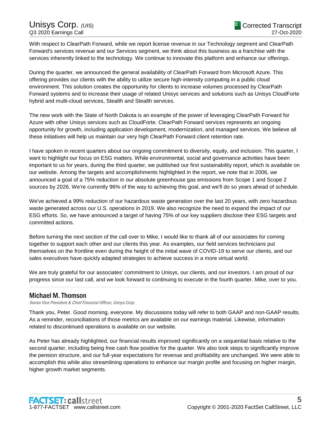With respect to ClearPath Forward, while we report license revenue in our Technology segment and ClearPath Forward's services revenue and our Services segment, we think about this business as a franchise with the services inherently linked to the technology. We continue to innovate this platform and enhance our offerings.

During the quarter, we announced the general availability of ClearPath Forward from Microsoft Azure. This offering provides our clients with the ability to utilize secure high-intensity computing in a public cloud environment. This solution creates the opportunity for clients to increase volumes processed by ClearPath Forward systems and to increase their usage of related Unisys services and solutions such as Unisys CloudForte hybrid and multi-cloud services, Stealth and Stealth services.

The new work with the State of North Dakota is an example of the power of leveraging ClearPath Forward for Azure with other Unisys services such as CloudForte. ClearPath Forward services represents an ongoing opportunity for growth, including application development, modernization, and managed services. We believe all these initiatives will help us maintain our very high ClearPath Forward client retention rate.

I have spoken in recent quarters about our ongoing commitment to diversity, equity, and inclusion. This quarter, I want to highlight our focus on ESG matters. While environmental, social and governance activities have been important to us for years, during the third quarter, we published our first sustainability report, which is available on our website. Among the targets and accomplishments highlighted in the report, we note that in 2006, we announced a goal of a 75% reduction in our absolute greenhouse gas emissions from Scope 1 and Scope 2 sources by 2026. We're currently 96% of the way to achieving this goal, and we'll do so years ahead of schedule.

We've achieved a 99% reduction of our hazardous waste generation over the last 20 years, with zero hazardous waste generated across our U.S. operations in 2019. We also recognize the need to expand the impact of our ESG efforts. So, we have announced a target of having 75% of our key suppliers disclose their ESG targets and committed actions.

Before turning the next section of the call over to Mike, I would like to thank all of our associates for coming together to support each other and our clients this year. As examples, our field services technicians put themselves on the frontline even during the height of the initial wave of COVID-19 to serve our clients, and our sales executives have quickly adapted strategies to achieve success in a more virtual world.

We are truly grateful for our associates' commitment to Unisys, our clients, and our investors. I am proud of our progress since our last call, and we look forward to continuing to execute in the fourth quarter. Mike, over to you. ......................................................................................................................................................................................................................................................

## Michael M. Thomson

Senior Vice President & Chief Financial Officer, Unisys Corp.

Thank you, Peter. Good morning, everyone. My discussions today will refer to both GAAP and non-GAAP results. As a reminder, reconciliations of those metrics are available on our earnings material. Likewise, information related to discontinued operations is available on our website.

As Peter has already highlighted, our financial results improved significantly on a sequential basis relative to the second quarter, including being free cash flow positive for the quarter. We also took steps to significantly improve the pension structure, and our full-year expectations for revenue and profitability are unchanged. We were able to accomplish this while also streamlining operations to enhance our margin profile and focusing on higher margin, higher growth market segments.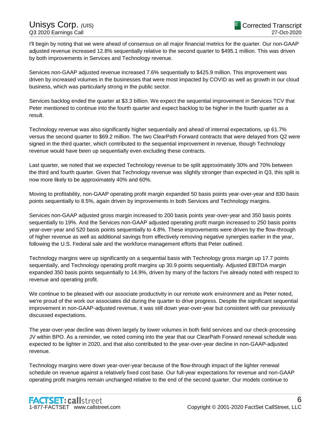I'll begin by noting that we were ahead of consensus on all major financial metrics for the quarter. Our non-GAAP adjusted revenue increased 12.8% sequentially relative to the second quarter to \$495.1 million. This was driven by both improvements in Services and Technology revenue.

Services non-GAAP adjusted revenue increased 7.6% sequentially to \$425.9 million. This improvement was driven by increased volumes in the businesses that were most impacted by COVID as well as growth in our cloud business, which was particularly strong in the public sector.

Services backlog ended the quarter at \$3.3 billion. We expect the sequential improvement in Services TCV that Peter mentioned to continue into the fourth quarter and expect backlog to be higher in the fourth quarter as a result.

Technology revenue was also significantly higher sequentially and ahead of internal expectations, up 61.7% versus the second quarter to \$69.2 million. The two ClearPath Forward contracts that were delayed from Q2 were signed in the third quarter, which contributed to the sequential improvement in revenue, though Technology revenue would have been up sequentially even excluding these contracts.

Last quarter, we noted that we expected Technology revenue to be split approximately 30% and 70% between the third and fourth quarter. Given that Technology revenue was slightly stronger than expected in Q3, this split is now more likely to be approximately 40% and 60%.

Moving to profitability, non-GAAP operating profit margin expanded 50 basis points year-over-year and 830 basis points sequentially to 8.5%, again driven by improvements in both Services and Technology margins.

Services non-GAAP adjusted gross margin increased to 200 basis points year-over-year and 350 basis points sequentially to 19%. And the Services non-GAAP adjusted operating profit margin increased to 250 basis points year-over-year and 520 basis points sequentially to 4.8%. These improvements were driven by the flow-through of higher revenue as well as additional savings from effectively removing negative synergies earlier in the year, following the U.S. Federal sale and the workforce management efforts that Peter outlined.

Technology margins were up significantly on a sequential basis with Technology gross margin up 17.7 points sequentially, and Technology operating profit margins up 30.9 points sequentially. Adjusted EBITDA margin expanded 350 basis points sequentially to 14.9%, driven by many of the factors I've already noted with respect to revenue and operating profit.

We continue to be pleased with our associate productivity in our remote work environment and as Peter noted, we're proud of the work our associates did during the quarter to drive progress. Despite the significant sequential improvement in non-GAAP-adjusted revenue, it was still down year-over-year but consistent with our previously discussed expectations.

The year-over-year decline was driven largely by lower volumes in both field services and our check-processing JV within BPO. As a reminder, we noted coming into the year that our ClearPath Forward renewal schedule was expected to be lighter in 2020, and that also contributed to the year-over-year decline in non-GAAP-adjusted revenue.

Technology margins were down year-over-year because of the flow-through impact of the lighter renewal schedule on revenue against a relatively fixed cost base. Our full-year expectations for revenue and non-GAAP operating profit margins remain unchanged relative to the end of the second quarter. Our models continue to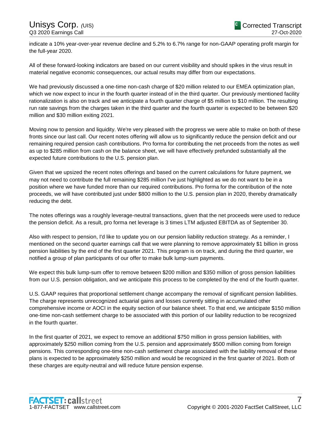indicate a 10% year-over-year revenue decline and 5.2% to 6.7% range for non-GAAP operating profit margin for the full-year 2020.

All of these forward-looking indicators are based on our current visibility and should spikes in the virus result in material negative economic consequences, our actual results may differ from our expectations.

We had previously discussed a one-time non-cash charge of \$20 million related to our EMEA optimization plan, which we now expect to incur in the fourth quarter instead of in the third quarter. Our previously mentioned facility rationalization is also on track and we anticipate a fourth quarter charge of \$5 million to \$10 million. The resulting run rate savings from the charges taken in the third quarter and the fourth quarter is expected to be between \$20 million and \$30 million exiting 2021.

Moving now to pension and liquidity. We're very pleased with the progress we were able to make on both of these fronts since our last call. Our recent notes offering will allow us to significantly reduce the pension deficit and our remaining required pension cash contributions. Pro forma for contributing the net proceeds from the notes as well as up to \$285 million from cash on the balance sheet, we will have effectively prefunded substantially all the expected future contributions to the U.S. pension plan.

Given that we upsized the recent notes offerings and based on the current calculations for future payment, we may not need to contribute the full remaining \$285 million I've just highlighted as we do not want to be in a position where we have funded more than our required contributions. Pro forma for the contribution of the note proceeds, we will have contributed just under \$800 million to the U.S. pension plan in 2020, thereby dramatically reducing the debt.

The notes offerings was a roughly leverage-neutral transactions, given that the net proceeds were used to reduce the pension deficit. As a result, pro forma net leverage is 3 times LTM adjusted EBITDA as of September 30.

Also with respect to pension, I'd like to update you on our pension liability reduction strategy. As a reminder, I mentioned on the second quarter earnings call that we were planning to remove approximately \$1 billion in gross pension liabilities by the end of the first quarter 2021. This program is on track, and during the third quarter, we notified a group of plan participants of our offer to make bulk lump-sum payments.

We expect this bulk lump-sum offer to remove between \$200 million and \$350 million of gross pension liabilities from our U.S. pension obligation, and we anticipate this process to be completed by the end of the fourth quarter.

U.S. GAAP requires that proportional settlement change accompany the removal of significant pension liabilities. The charge represents unrecognized actuarial gains and losses currently sitting in accumulated other comprehensive income or AOCI in the equity section of our balance sheet. To that end, we anticipate \$150 million one-time non-cash settlement charge to be associated with this portion of our liability reduction to be recognized in the fourth quarter.

In the first quarter of 2021, we expect to remove an additional \$750 million in gross pension liabilities, with approximately \$250 million coming from the U.S. pension and approximately \$500 million coming from foreign pensions. This corresponding one-time non-cash settlement charge associated with the liability removal of these plans is expected to be approximately \$250 million and would be recognized in the first quarter of 2021. Both of these charges are equity-neutral and will reduce future pension expense.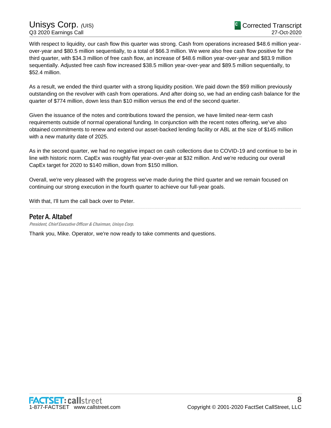With respect to liquidity, our cash flow this quarter was strong. Cash from operations increased \$48.6 million yearover-year and \$80.5 million sequentially, to a total of \$66.3 million. We were also free cash flow positive for the third quarter, with \$34.3 million of free cash flow, an increase of \$48.6 million year-over-year and \$83.9 million sequentially. Adjusted free cash flow increased \$38.5 million year-over-year and \$89.5 million sequentially, to \$52.4 million.

As a result, we ended the third quarter with a strong liquidity position. We paid down the \$59 million previously outstanding on the revolver with cash from operations. And after doing so, we had an ending cash balance for the quarter of \$774 million, down less than \$10 million versus the end of the second quarter.

Given the issuance of the notes and contributions toward the pension, we have limited near-term cash requirements outside of normal operational funding. In conjunction with the recent notes offering, we've also obtained commitments to renew and extend our asset-backed lending facility or ABL at the size of \$145 million with a new maturity date of 2025.

As in the second quarter, we had no negative impact on cash collections due to COVID-19 and continue to be in line with historic norm. CapEx was roughly flat year-over-year at \$32 million. And we're reducing our overall CapEx target for 2020 to \$140 million, down from \$150 million.

Overall, we're very pleased with the progress we've made during the third quarter and we remain focused on continuing our strong execution in the fourth quarter to achieve our full-year goals.

......................................................................................................................................................................................................................................................

With that, I'll turn the call back over to Peter.

## Peter A. Altabef

President, Chief Executive Officer & Chairman, Unisys Corp.

Thank you, Mike. Operator, we're now ready to take comments and questions.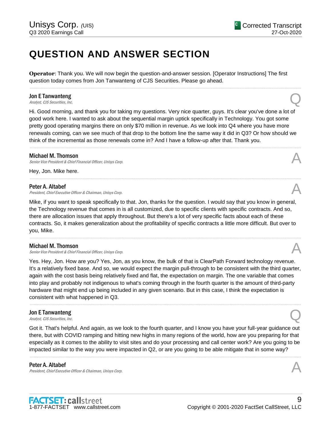## **QUESTION AND ANSWER SECTION**

**Operator**: Thank you. We will now begin the question-and-answer session. [Operator Instructions] The first question today comes from Jon Tanwanteng of CJS Securities. Please go ahead.

......................................................................................................................................................................................................................................................

## Jon E Tanwanteng **Jon E Tanwanteng**<br>Analyst, CJS Securities, Inc.

Hi. Good morning, and thank you for taking my questions. Very nice quarter, guys. It's clear you've done a lot of good work here. I wanted to ask about the sequential margin uptick specifically in Technology. You got some pretty good operating margins there on only \$70 million in revenue. As we look into Q4 where you have more renewals coming, can we see much of that drop to the bottom line the same way it did in Q3? Or how should we think of the incremental as those renewals come in? And I have a follow-up after that. Thank you.

......................................................................................................................................................................................................................................................

......................................................................................................................................................................................................................................................

#### Michael M. Thomson

Senior Vice President & Chief Financial Officer, Unisys Corp.

Hey, Jon. Mike here.

#### Peter A. Altabef

President, Chief Executive Officer & Chairman, Unisys Corp.

Mike, if you want to speak specifically to that. Jon, thanks for the question. I would say that you know in general, the Technology revenue that comes in is all customized, due to specific clients with specific contracts. And so, there are allocation issues that apply throughout. But there's a lot of very specific facts about each of these contracts. So, it makes generalization about the profitability of specific contracts a little more difficult. But over to you, Mike.

......................................................................................................................................................................................................................................................

#### Michael M. Thomson

Senior Vice President & Chief Financial Officer, Unisys Corp.

Yes. Hey, Jon. How are you? Yes, Jon, as you know, the bulk of that is ClearPath Forward technology revenue. It's a relatively fixed base. And so, we would expect the margin pull-through to be consistent with the third quarter, again with the cost basis being relatively fixed and flat, the expectation on margin. The one variable that comes into play and probably not indigenous to what's coming through in the fourth quarter is the amount of third-party hardware that might end up being included in any given scenario. But in this case, I think the expectation is consistent with what happened in Q3.

......................................................................................................................................................................................................................................................

## Jon E Tanwanteng **Jon E Tanwanteng**<br>Analyst, CJS Securities, Inc.

Got it. That's helpful. And again, as we look to the fourth quarter, and I know you have your full-year guidance out there, but with COVID ramping and hitting new highs in many regions of the world, how are you preparing for that especially as it comes to the ability to visit sites and do your processing and call center work? Are you going to be impacted similar to the way you were impacted in Q2, or are you going to be able mitigate that in some way?

......................................................................................................................................................................................................................................................

#### Peter A. Altabef

President, Chief Executive Officer & Chairman, Unisys Corp.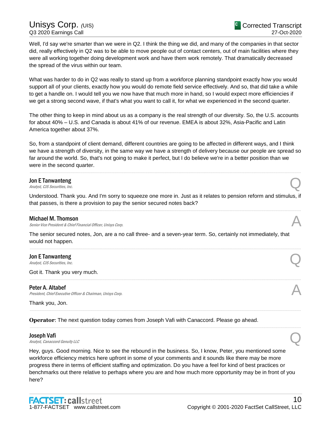Well, I'd say we're smarter than we were in Q2. I think the thing we did, and many of the companies in that sector did, really effectively in Q2 was to be able to move people out of contact centers, out of main facilities where they were all working together doing development work and have them work remotely. That dramatically decreased the spread of the virus within our team.

What was harder to do in Q2 was really to stand up from a workforce planning standpoint exactly how you would support all of your clients, exactly how you would do remote field service effectively. And so, that did take a while to get a handle on. I would tell you we now have that much more in hand, so I would expect more efficiencies if we get a strong second wave, if that's what you want to call it, for what we experienced in the second quarter.

The other thing to keep in mind about us as a company is the real strength of our diversity. So, the U.S. accounts for about 40% – U.S. and Canada is about 41% of our revenue. EMEA is about 32%, Asia-Pacific and Latin America together about 37%.

So, from a standpoint of client demand, different countries are going to be affected in different ways, and I think we have a strength of diversity, in the same way we have a strength of delivery because our people are spread so far around the world. So, that's not going to make it perfect, but I do believe we're in a better position than we were in the second quarter.

......................................................................................................................................................................................................................................................

## Jon E Tanwanteng **Jon E Tanwanteng**<br>Analyst, CJS Securities, Inc.

Understood. Thank you. And I'm sorry to squeeze one more in. Just as it relates to pension reform and stimulus, if that passes, is there a provision to pay the senior secured notes back? ......................................................................................................................................................................................................................................................

#### Michael M. Thomson

Senior Vice President & Chief Financial Officer, Unisys Corp.

The senior secured notes, Jon, are a no call three- and a seven-year term. So, certainly not immediately, that would not happen.

......................................................................................................................................................................................................................................................

......................................................................................................................................................................................................................................................

......................................................................................................................................................................................................................................................

......................................................................................................................................................................................................................................................

## Jon E Tanwanteng **Jon E Tanwanteng**<br>Analyst, CJS Securities, Inc.

Got it. Thank you very much.

#### Peter A. Altabef

President, Chief Executive Officer & Chairman, Unisys Corp.

Thank you, Jon.

**Operator**: The next question today comes from Joseph Vafi with Canaccord. Please go ahead.

#### Joseph Vafi

**Joseph Vafi**<br>Analyst, Canaccord Genuity LLC

Hey, guys. Good morning. Nice to see the rebound in the business. So, I know, Peter, you mentioned some workforce efficiency metrics here upfront in some of your comments and it sounds like there may be more progress there in terms of efficient staffing and optimization. Do you have a feel for kind of best practices or benchmarks out there relative to perhaps where you are and how much more opportunity may be in front of you here?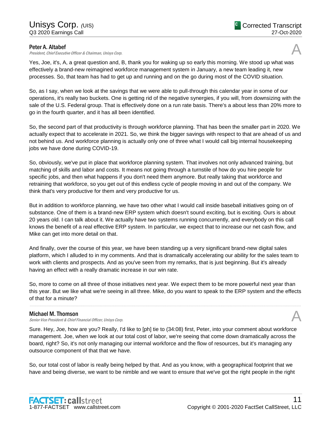#### Peter A. Altabef

President, Chief Executive Officer & Chairman, Unisys Corp.

Yes, Joe, it's, A, a great question and, B, thank you for waking up so early this morning. We stood up what was effectively a brand-new reimagined workforce management system in January, a new team leading it, new processes. So, that team has had to get up and running and on the go during most of the COVID situation.

So, as I say, when we look at the savings that we were able to pull-through this calendar year in some of our operations, it's really two buckets. One is getting rid of the negative synergies, if you will, from downsizing with the sale of the U.S. Federal group. That is effectively done on a run rate basis. There's a about less than 20% more to go in the fourth quarter, and it has all been identified.

So, the second part of that productivity is through workforce planning. That has been the smaller part in 2020. We actually expect that to accelerate in 2021. So, we think the bigger savings with respect to that are ahead of us and not behind us. And workforce planning is actually only one of three what I would call big internal housekeeping jobs we have done during COVID-19.

So, obviously, we've put in place that workforce planning system. That involves not only advanced training, but matching of skills and labor and costs. It means not going through a turnstile of how do you hire people for specific jobs, and then what happens if you don't need them anymore. But really taking that workforce and retraining that workforce, so you get out of this endless cycle of people moving in and out of the company. We think that's very productive for them and very productive for us.

But in addition to workforce planning, we have two other what I would call inside baseball initiatives going on of substance. One of them is a brand-new ERP system which doesn't sound exciting, but is exciting. Ours is about 20 years old. I can talk about it. We actually have two systems running concurrently, and everybody on this call knows the benefit of a real effective ERP system. In particular, we expect that to increase our net cash flow, and Mike can get into more detail on that.

And finally, over the course of this year, we have been standing up a very significant brand-new digital sales platform, which I alluded to in my comments. And that is dramatically accelerating our ability for the sales team to work with clients and prospects. And as you've seen from my remarks, that is just beginning. But it's already having an effect with a really dramatic increase in our win rate.

So, more to come on all three of those initiatives next year. We expect them to be more powerful next year than this year. But we like what we're seeing in all three. Mike, do you want to speak to the ERP system and the effects of that for a minute?

......................................................................................................................................................................................................................................................

#### Michael M. Thomson

Senior Vice President & Chief Financial Officer, Unisys Corp.

Sure. Hey, Joe, how are you? Really, I'd like to [ph] tie to (34:08) first, Peter, into your comment about workforce management. Joe, when we look at our total cost of labor, we're seeing that come down dramatically across the board, right? So, it's not only managing our internal workforce and the flow of resources, but it's managing any outsource component of that that we have.

So, our total cost of labor is really being helped by that. And as you know, with a geographical footprint that we have and being diverse, we want to be nimble and we want to ensure that we've got the right people in the right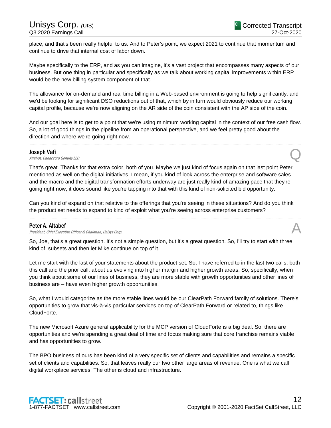place, and that's been really helpful to us. And to Peter's point, we expect 2021 to continue that momentum and continue to drive that internal cost of labor down.

Maybe specifically to the ERP, and as you can imagine, it's a vast project that encompasses many aspects of our business. But one thing in particular and specifically as we talk about working capital improvements within ERP would be the new billing system component of that.

The allowance for on-demand and real time billing in a Web-based environment is going to help significantly, and we'd be looking for significant DSO reductions out of that, which by in turn would obviously reduce our working capital profile, because we're now aligning on the AR side of the coin consistent with the AP side of the coin.

And our goal here is to get to a point that we're using minimum working capital in the context of our free cash flow. So, a lot of good things in the pipeline from an operational perspective, and we feel pretty good about the direction and where we're going right now.

......................................................................................................................................................................................................................................................

#### Joseph Vafi

**Joseph Vafi**<br>Analyst, Canaccord Genuity LLC

That's great. Thanks for that extra color, both of you. Maybe we just kind of focus again on that last point Peter mentioned as well on the digital initiatives. I mean, if you kind of look across the enterprise and software sales and the macro and the digital transformation efforts underway are just really kind of amazing pace that they're going right now, it does sound like you're tapping into that with this kind of non-solicited bid opportunity.

Can you kind of expand on that relative to the offerings that you're seeing in these situations? And do you think the product set needs to expand to kind of exploit what you're seeing across enterprise customers?

......................................................................................................................................................................................................................................................

#### Peter A. Altabef

President, Chief Executive Officer & Chairman, Unisys Corp.

So, Joe, that's a great question. It's not a simple question, but it's a great question. So, I'll try to start with three, kind of, subsets and then let Mike continue on top of it.

Let me start with the last of your statements about the product set. So, I have referred to in the last two calls, both this call and the prior call, about us evolving into higher margin and higher growth areas. So, specifically, when you think about some of our lines of business, they are more stable with growth opportunities and other lines of business are – have even higher growth opportunities.

So, what I would categorize as the more stable lines would be our ClearPath Forward family of solutions. There's opportunities to grow that vis-à-vis particular services on top of ClearPath Forward or related to, things like CloudForte.

The new Microsoft Azure general applicability for the MCP version of CloudForte is a big deal. So, there are opportunities and we're spending a great deal of time and focus making sure that core franchise remains viable and has opportunities to grow.

The BPO business of ours has been kind of a very specific set of clients and capabilities and remains a specific set of clients and capabilities. So, that leaves really our two other large areas of revenue. One is what we call digital workplace services. The other is cloud and infrastructure.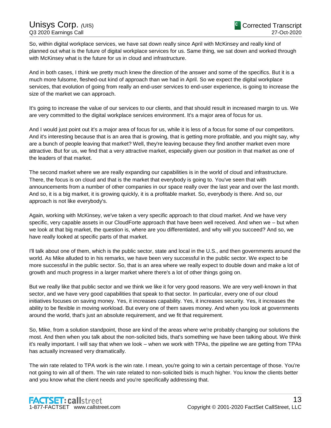So, within digital workplace services, we have sat down really since April with McKinsey and really kind of planned out what is the future of digital workplace services for us. Same thing, we sat down and worked through with McKinsey what is the future for us in cloud and infrastructure.

And in both cases, I think we pretty much knew the direction of the answer and some of the specifics. But it is a much more fulsome, fleshed-out kind of approach than we had in April. So we expect the digital workplace services, that evolution of going from really an end-user services to end-user experience, is going to increase the size of the market we can approach.

It's going to increase the value of our services to our clients, and that should result in increased margin to us. We are very committed to the digital workplace services environment. It's a major area of focus for us.

And I would just point out it's a major area of focus for us, while it is less of a focus for some of our competitors. And it's interesting because that is an area that is growing, that is getting more profitable, and you might say, why are a bunch of people leaving that market? Well, they're leaving because they find another market even more attractive. But for us, we find that a very attractive market, especially given our position in that market as one of the leaders of that market.

The second market where we are really expanding our capabilities is in the world of cloud and infrastructure. There, the focus is on cloud and that is the market that everybody is going to. You've seen that with announcements from a number of other companies in our space really over the last year and over the last month. And so, it is a big market, it is growing quickly, it is a profitable market. So, everybody is there. And so, our approach is not like everybody's.

Again, working with McKinsey, we've taken a very specific approach to that cloud market. And we have very specific, very capable assets in our CloudForte approach that have been well received. And when we – but when we look at that big market, the question is, where are you differentiated, and why will you succeed? And so, we have really looked at specific parts of that market.

I'll talk about one of them, which is the public sector, state and local in the U.S., and then governments around the world. As Mike alluded to in his remarks, we have been very successful in the public sector. We expect to be more successful in the public sector. So, that is an area where we really expect to double down and make a lot of growth and much progress in a larger market where there's a lot of other things going on.

But we really like that public sector and we think we like it for very good reasons. We are very well-known in that sector, and we have very good capabilities that speak to that sector. In particular, every one of our cloud initiatives focuses on saving money. Yes, it increases capability. Yes, it increases security. Yes, it increases the ability to be flexible in moving workload. But every one of them saves money. And when you look at governments around the world, that's just an absolute requirement, and we fit that requirement.

So, Mike, from a solution standpoint, those are kind of the areas where we're probably changing our solutions the most. And then when you talk about the non-solicited bids, that's something we have been talking about. We think it's really important. I will say that when we look – when we work with TPAs, the pipeline we are getting from TPAs has actually increased very dramatically.

The win rate related to TPA work is the win rate. I mean, you're going to win a certain percentage of those. You're not going to win all of them. The win rate related to non-solicited bids is much higher. You know the clients better and you know what the client needs and you're specifically addressing that.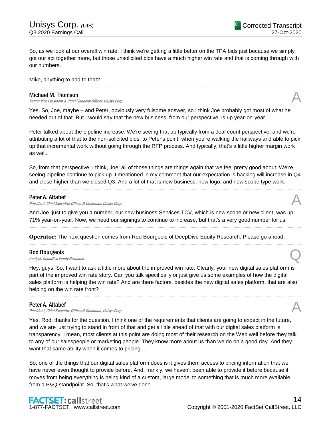So, as we look at our overall win rate, I think we're getting a little better on the TPA bids just because we simply got our act together more, but those unsolicited bids have a much higher win rate and that is coming through with our numbers.

......................................................................................................................................................................................................................................................

#### Mike, anything to add to that?

#### Michael M. Thomson

Senior Vice President & Chief Financial Officer, Unisys Corp.

Yes. So, Joe, maybe – and Peter, obviously very fulsome answer, so I think Joe probably got most of what he needed out of that. But I would say that the new business, from our perspective, is up year-on-year.

Peter talked about the pipeline increase. We're seeing that up typically from a deal count perspective, and we're attributing a lot of that to the non-solicited bids, to Peter's point, when you're walking the hallways and able to pick up that incremental work without going through the RFP process. And typically, that's a little higher margin work as well.

So, from that perspective, I think, Joe, all of those things are things again that we feel pretty good about. We're seeing pipeline continue to pick up. I mentioned in my comment that our expectation is backlog will increase in Q4 and close higher than we closed Q3. And a lot of that is new business, new logo, and new scope type work.

......................................................................................................................................................................................................................................................

#### Peter A. Altabef

President, Chief Executive Officer & Chairman, Unisys Corp.

And Joe, just to give you a number, our new business Services TCV, which is new scope or new client, was up 71% year-on-year. Now, we need our signings to continue to increase, but that's a very good number for us.

......................................................................................................................................................................................................................................................

......................................................................................................................................................................................................................................................

**Operator**: The next question comes from Rod Bourgeois of DeepDive Equity Research. Please go ahead.

#### Rod Bourgeois

**Rod Bourgeois**<br>Analyst, DeepDive Equity Research **Q** 

Hey, guys. So, I want to ask a little more about the improved win rate. Clearly, your new digital sales platform is part of the improved win rate story. Can you talk specifically or just give us some examples of how the digital sales platform is helping the win rate? And are there factors, besides the new digital sales platform, that are also helping on the win rate front?

......................................................................................................................................................................................................................................................

#### Peter A. Altabef

Peter A. Altabef<br>President, Chief Executive Officer & Chairman, Unisys Corp.

Yes, Rod, thanks for the question. I think one of the requirements that clients are going to expect in the future, and we are just trying to stand in front of that and get a little ahead of that with our digital sales platform is transparency. I mean, most clients at this point are doing most of their research on the Web well before they talk to any of our salespeople or marketing people. They know more about us than we do on a good day. And they want that same ability when it comes to pricing.

So, one of the things that our digital sales platform does is it gives them access to pricing information that we have never even thought to provide before. And, frankly, we haven't been able to provide it before because it moves from being everything is being kind of a custom, large model to something that is much more available from a P&Q standpoint. So, that's what we've done.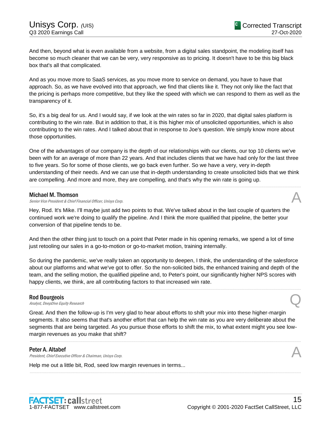And then, beyond what is even available from a website, from a digital sales standpoint, the modeling itself has become so much cleaner that we can be very, very responsive as to pricing. It doesn't have to be this big black box that's all that complicated.

And as you move more to SaaS services, as you move more to service on demand, you have to have that approach. So, as we have evolved into that approach, we find that clients like it. They not only like the fact that the pricing is perhaps more competitive, but they like the speed with which we can respond to them as well as the transparency of it.

So, it's a big deal for us. And I would say, if we look at the win rates so far in 2020, that digital sales platform is contributing to the win rate. But in addition to that, it is this higher mix of unsolicited opportunities, which is also contributing to the win rates. And I talked about that in response to Joe's question. We simply know more about those opportunities.

One of the advantages of our company is the depth of our relationships with our clients, our top 10 clients we've been with for an average of more than 22 years. And that includes clients that we have had only for the last three to five years. So for some of those clients, we go back even further. So we have a very, very in-depth understanding of their needs. And we can use that in-depth understanding to create unsolicited bids that we think are compelling. And more and more, they are compelling, and that's why the win rate is going up.

......................................................................................................................................................................................................................................................

#### Michael M. Thomson

Senior Vice President & Chief Financial Officer, Unisys Corp.

Hey, Rod. It's Mike. I'll maybe just add two points to that. We've talked about in the last couple of quarters the continued work we're doing to qualify the pipeline. And I think the more qualified that pipeline, the better your conversion of that pipeline tends to be.

And then the other thing just to touch on a point that Peter made in his opening remarks, we spend a lot of time just retooling our sales in a go-to-motion or go-to-market motion, training internally.

So during the pandemic, we've really taken an opportunity to deepen, I think, the understanding of the salesforce about our platforms and what we've got to offer. So the non-solicited bids, the enhanced training and depth of the team, and the selling motion, the qualified pipeline and, to Peter's point, our significantly higher NPS scores with happy clients, we think, are all contributing factors to that increased win rate.

......................................................................................................................................................................................................................................................

#### Rod Bourgeois

**Rod Bourgeois**<br>Analyst, DeepDive Equity Research **Q** 

Great. And then the follow-up is I'm very glad to hear about efforts to shift your mix into these higher-margin segments. It also seems that that's another effort that can help the win rate as you are very deliberate about the segments that are being targeted. As you pursue those efforts to shift the mix, to what extent might you see lowmargin revenues as you make that shift?

......................................................................................................................................................................................................................................................

......................................................................................................................................................................................................................................................

#### Peter A. Altabef

President, Chief Executive Officer & Chairman, Unisys Corp.

Help me out a little bit, Rod, seed low margin revenues in terms...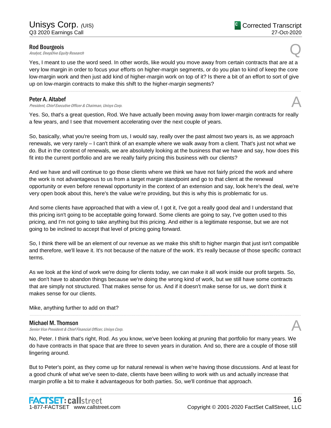#### Rod Bourgeois

**Rod Bourgeois**<br>Analyst, DeepDive Equity Research **Q** 

Yes, I meant to use the word seed. In other words, like would you move away from certain contracts that are at a very low margin in order to focus your efforts on higher-margin segments, or do you plan to kind of keep the core low-margin work and then just add kind of higher-margin work on top of it? Is there a bit of an effort to sort of give up on low-margin contracts to make this shift to the higher-margin segments?

......................................................................................................................................................................................................................................................

#### Peter A. Altabef

President, Chief Executive Officer & Chairman, Unisys Corp.

Yes. So, that's a great question, Rod. We have actually been moving away from lower-margin contracts for really a few years, and I see that movement accelerating over the next couple of years.

So, basically, what you're seeing from us, I would say, really over the past almost two years is, as we approach renewals, we very rarely – I can't think of an example where we walk away from a client. That's just not what we do. But in the context of renewals, we are absolutely looking at the business that we have and say, how does this fit into the current portfolio and are we really fairly pricing this business with our clients?

And we have and will continue to go those clients where we think we have not fairly priced the work and where the work is not advantageous to us from a target margin standpoint and go to that client at the renewal opportunity or even before renewal opportunity in the context of an extension and say, look here's the deal, we're very open book about this, here's the value we're providing, but this is why this is problematic for us.

And some clients have approached that with a view of, I got it, I've got a really good deal and I understand that this pricing isn't going to be acceptable going forward. Some clients are going to say, I've gotten used to this pricing, and I'm not going to take anything but this pricing. And either is a legitimate response, but we are not going to be inclined to accept that level of pricing going forward.

So, I think there will be an element of our revenue as we make this shift to higher margin that just isn't compatible and therefore, we'll leave it. It's not because of the nature of the work. It's really because of those specific contract terms.

As we look at the kind of work we're doing for clients today, we can make it all work inside our profit targets. So, we don't have to abandon things because we're doing the wrong kind of work, but we still have some contracts that are simply not structured. That makes sense for us. And if it doesn't make sense for us, we don't think it makes sense for our clients.

Mike, anything further to add on that?

#### Michael M. Thomson

Senior Vice President & Chief Financial Officer, Unisys Corp.

No, Peter. I think that's right, Rod. As you know, we've been looking at pruning that portfolio for many years. We do have contracts in that space that are three to seven years in duration. And so, there are a couple of those still lingering around.

......................................................................................................................................................................................................................................................

But to Peter's point, as they come up for natural renewal is when we're having those discussions. And at least for a good chunk of what we've seen to-date, clients have been willing to work with us and actually increase that margin profile a bit to make it advantageous for both parties. So, we'll continue that approach.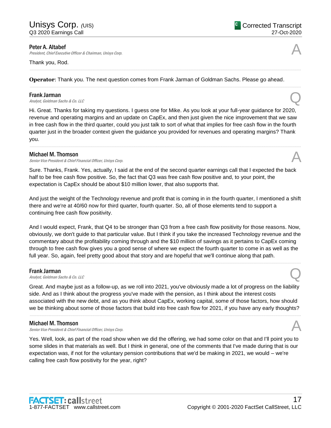Peter A. Altabef

President, Chief Executive Officer & Chairman, Unisys Corp.

#### Thank you, Rod.

**Operator**: Thank you. The next question comes from Frank Jarman of Goldman Sachs. Please go ahead.

......................................................................................................................................................................................................................................................

......................................................................................................................................................................................................................................................

#### Frank Jarman

**Frank Jarman**<br>Analyst, Goldman Sachs & Co. LLC

Hi. Great. Thanks for taking my questions. I guess one for Mike. As you look at your full-year guidance for 2020, revenue and operating margins and an update on CapEx, and then just given the nice improvement that we saw in free cash flow in the third quarter, could you just talk to sort of what that implies for free cash flow in the fourth quarter just in the broader context given the guidance you provided for revenues and operating margins? Thank you.

......................................................................................................................................................................................................................................................

#### Michael M. Thomson

Senior Vice President & Chief Financial Officer, Unisys Corp.

Sure. Thanks, Frank. Yes, actually, I said at the end of the second quarter earnings call that I expected the back half to be free cash flow positive. So, the fact that Q3 was free cash flow positive and, to your point, the expectation is CapEx should be about \$10 million lower, that also supports that.

And just the weight of the Technology revenue and profit that is coming in in the fourth quarter, I mentioned a shift there and we're at 40/60 now for third quarter, fourth quarter. So, all of those elements tend to support a continuing free cash flow positivity.

And I would expect, Frank, that Q4 to be stronger than Q3 from a free cash flow positivity for those reasons. Now, obviously, we don't guide to that particular value. But I think if you take the increased Technology revenue and the commentary about the profitability coming through and the \$10 million of savings as it pertains to CapEx coming through to free cash flow gives you a good sense of where we expect the fourth quarter to come in as well as the full year. So, again, feel pretty good about that story and are hopeful that we'll continue along that path.

......................................................................................................................................................................................................................................................

#### Frank Jarman

**Frank Jarman**<br>Analyst, Goldman Sachs & Co. LLC

Great. And maybe just as a follow-up, as we roll into 2021, you've obviously made a lot of progress on the liability side. And as I think about the progress you've made with the pension, as I think about the interest costs associated with the new debt, and as you think about CapEx, working capital, some of those factors, how should we be thinking about some of those factors that build into free cash flow for 2021, if you have any early thoughts?

......................................................................................................................................................................................................................................................

#### Michael M. Thomson

Senior Vice President & Chief Financial Officer, Unisys Corp.

Yes. Well, look, as part of the road show when we did the offering, we had some color on that and I'll point you to some slides in that materials as well. But I think in general, one of the comments that I've made during that is our expectation was, if not for the voluntary pension contributions that we'd be making in 2021, we would – we're calling free cash flow positivity for the year, right?

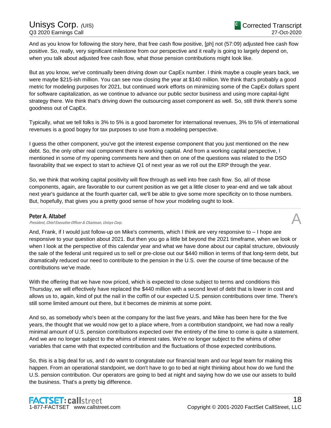And as you know for following the story here, that free cash flow positive, [ph] not (57:09) adjusted free cash flow positive. So, really, very significant milestone from our perspective and it really is going to largely depend on, when you talk about adjusted free cash flow, what those pension contributions might look like.

But as you know, we've continually been driving down our CapEx number. I think maybe a couple years back, we were maybe \$215-ish million. You can see now closing the year at \$140 million. We think that's probably a good metric for modeling purposes for 2021, but continued work efforts on minimizing some of the CapEx dollars spent for software capitalization, as we continue to advance our public sector business and using more capital-light strategy there. We think that's driving down the outsourcing asset component as well. So, still think there's some goodness out of CapEx.

Typically, what we tell folks is 3% to 5% is a good barometer for international revenues, 3% to 5% of international revenues is a good bogey for tax purposes to use from a modeling perspective.

I guess the other component, you've got the interest expense component that you just mentioned on the new debt. So, the only other real component there is working capital. And from a working capital perspective, I mentioned in some of my opening comments here and then on one of the questions was related to the DSO favorability that we expect to start to achieve Q1 of next year as we roll out the ERP through the year.

So, we think that working capital positivity will flow through as well into free cash flow. So, all of those components, again, are favorable to our current position as we get a little closer to year-end and we talk about next year's guidance at the fourth quarter call, we'll be able to give some more specificity on to those numbers. But, hopefully, that gives you a pretty good sense of how your modeling ought to look.

......................................................................................................................................................................................................................................................

#### Peter A. Altabef

#### President, Chief Executive Officer & Chairman, Unisys Corp.

And, Frank, if I would just follow-up on Mike's comments, which I think are very responsive to – I hope are responsive to your question about 2021. But then you go a little bit beyond the 2021 timeframe, when we look or when I look at the perspective of this calendar year and what we have done about our capital structure, obviously the sale of the federal unit required us to sell or pre-close out our \$440 million in terms of that long-term debt, but dramatically reduced our need to contribute to the pension in the U.S. over the course of time because of the contributions we've made.

With the offering that we have now priced, which is expected to close subject to terms and conditions this Thursday, we will effectively have replaced the \$440 million with a second level of debt that is lower in cost and allows us to, again, kind of put the nail in the coffin of our expected U.S. pension contributions over time. There's still some limited amount out there, but it becomes de minimis at some point.

And so, as somebody who's been at the company for the last five years, and Mike has been here for the five years, the thought that we would now get to a place where, from a contribution standpoint, we had now a really minimal amount of U.S. pension contributions expected over the entirety of the time to come is quite a statement. And we are no longer subject to the whims of interest rates. We're no longer subject to the whims of other variables that came with that expected contribution and the fluctuations of those expected contributions.

So, this is a big deal for us, and I do want to congratulate our financial team and our legal team for making this happen. From an operational standpoint, we don't have to go to bed at night thinking about how do we fund the U.S. pension contribution. Our operators are going to bed at night and saying how do we use our assets to build the business. That's a pretty big difference.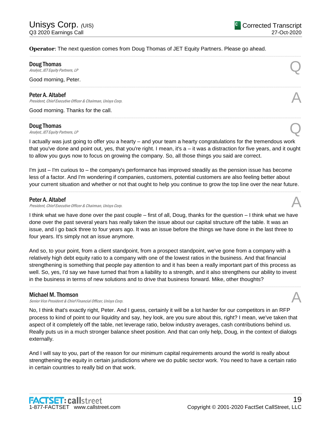#### **Operator**: The next question comes from Doug Thomas of JET Equity Partners. Please go ahead.

Doug Thomas

**Doug Thomas**<br>Analyst, JET Equity Partners, LP

Good morning, Peter.

#### Peter A. Altabef

President, Chief Executive Officer & Chairman, Unisys Corp.

Good morning. Thanks for the call.

#### Doug Thomas

**Doug Thomas**<br>Analyst, JET Equity Partners, LP

I actually was just going to offer you a hearty – and your team a hearty congratulations for the tremendous work that you've done and point out, yes, that you're right. I mean, it's a – it was a distraction for five years, and it ought to allow you guys now to focus on growing the company. So, all those things you said are correct.

......................................................................................................................................................................................................................................................

......................................................................................................................................................................................................................................................

......................................................................................................................................................................................................................................................

I'm just – I'm curious to – the company's performance has improved steadily as the pension issue has become less of a factor. And I'm wondering if companies, customers, potential customers are also feeling better about your current situation and whether or not that ought to help you continue to grow the top line over the near future.

......................................................................................................................................................................................................................................................

#### Peter A. Altabef

President, Chief Executive Officer & Chairman, Unisys Corp.

I think what we have done over the past couple – first of all, Doug, thanks for the question – I think what we have done over the past several years has really taken the issue about our capital structure off the table. It was an issue, and I go back three to four years ago. It was an issue before the things we have done in the last three to four years. It's simply not an issue anymore.

And so, to your point, from a client standpoint, from a prospect standpoint, we've gone from a company with a relatively high debt equity ratio to a company with one of the lowest ratios in the business. And that financial strengthening is something that people pay attention to and it has been a really important part of this process as well. So, yes, I'd say we have turned that from a liability to a strength, and it also strengthens our ability to invest in the business in terms of new solutions and to drive that business forward. Mike, other thoughts?

......................................................................................................................................................................................................................................................

#### Michael M. Thomson

Senior Vice President & Chief Financial Officer, Unisys Corp.

No, I think that's exactly right, Peter. And I guess, certainly it will be a lot harder for our competitors in an RFP process to kind of point to our liquidity and say, hey look, are you sure about this, right? I mean, we've taken that aspect of it completely off the table, net leverage ratio, below industry averages, cash contributions behind us. Really puts us in a much stronger balance sheet position. And that can only help, Doug, in the context of dialogs externally.

And I will say to you, part of the reason for our minimum capital requirements around the world is really about strengthening the equity in certain jurisdictions where we do public sector work. You need to have a certain ratio in certain countries to really bid on that work.